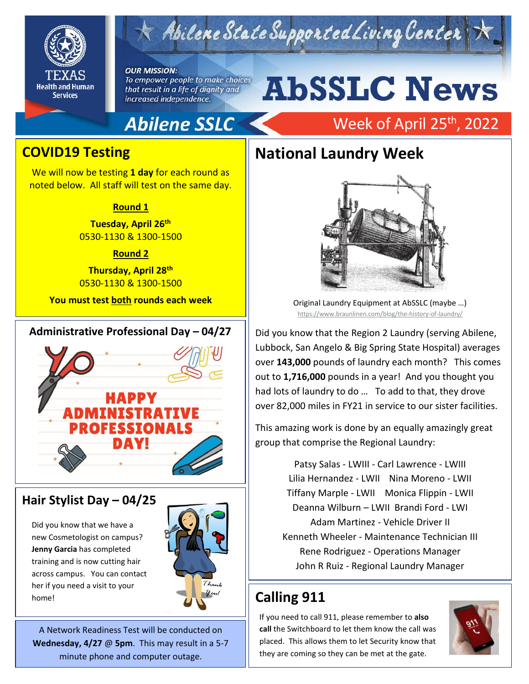



#### **OUR MISSION:**

To empower people to make choices that result in a life of dignity and increased independence.

# **AbSSLC News**

Week of April 25<sup>th</sup>, 2022

# Abilene SSLC

## **COVID19 Testing**

We will now be testing **1 day** for each round as noted below. All staff will test on the same day.

#### **Round 1**

**Tuesday, April 26th** 0530-1130 & 1300-1500

#### **Round 2**

**Thursday, April 28th** 0530-1130 & 1300-1500

**You must test both rounds each week**

#### **Administrative Professional Day – 04/27**



### **Hair Stylist Day – 04/25**

Did you know that we have a new Cosmetologist on campus? **Jenny Garcia** has completed training and is now cutting hair across campus. You can contact her if you need a visit to your home!



A Network Readiness Test will be conducted on **Wednesday, 4/27** @ **5pm**. This may result in a 5-7 minute phone and computer outage.

# **National Laundry Week**



Original Laundry Equipment at AbSSLC (maybe …) <https://www.braunlinen.com/blog/the-history-of-laundry/>

2019 Lubbock, San Angelo & Big Spring State Hospital) averages Did you know that the Region 2 Laundry (serving Abilene, over **143,000** pounds of laundry each month? This comes out to **1,716,000** pounds in a year! And you thought you had lots of laundry to do … To add to that, they drove over 82,000 miles in FY21 in service to our sister facilities.

This amazing work is done by an equally amazingly great group that comprise the Regional Laundry:

> Patsy Salas - LWIII - Carl Lawrence - LWIII Lilia Hernandez - LWII Nina Moreno - LWII Tiffany Marple - LWII Monica Flippin - LWII Deanna Wilburn – LWII Brandi Ford - LWI Adam Martinez - Vehicle Driver II Kenneth Wheeler - Maintenance Technician III Rene Rodriguez - Operations Manager John R Ruiz - Regional Laundry Manager

# **Calling 911**

If you need to call 911, please remember to **also call** the Switchboard to let them know the call was placed. This allows them to let Security know that they are coming so they can be met at the gate.